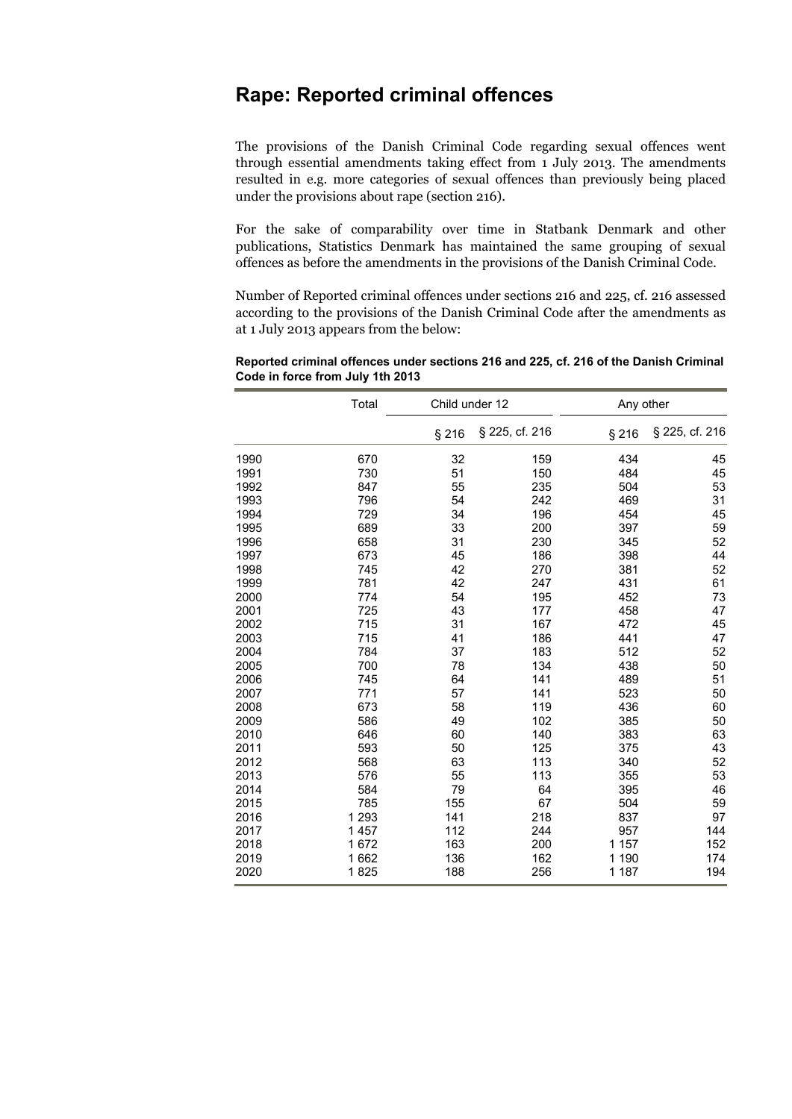## **Rape: Reported criminal offences**

The provisions of the Danish Criminal Code regarding sexual offences went through essential amendments taking effect from 1 July 2013. The amendments resulted in e.g. more categories of sexual offences than previously being placed under the provisions about rape (section 216).

For the sake of comparability over time in Statbank Denmark and other publications, Statistics Denmark has maintained the same grouping of sexual offences as before the amendments in the provisions of the Danish Criminal Code.

Number of Reported criminal offences under sections 216 and 225, cf. 216 assessed according to the provisions of the Danish Criminal Code after the amendments as at 1 July 2013 appears from the below:

|      | Total   | Child under 12 |                | Any other |                |
|------|---------|----------------|----------------|-----------|----------------|
|      |         | § 216          | § 225, cf. 216 | § 216     | § 225, cf. 216 |
| 1990 | 670     | 32             | 159            | 434       | 45             |
| 1991 | 730     | 51             | 150            | 484       | 45             |
| 1992 | 847     | 55             | 235            | 504       | 53             |
| 1993 | 796     | 54             | 242            | 469       | 31             |
| 1994 | 729     | 34             | 196            | 454       | 45             |
| 1995 | 689     | 33             | 200            | 397       | 59             |
| 1996 | 658     | 31             | 230            | 345       | 52             |
| 1997 | 673     | 45             | 186            | 398       | 44             |
| 1998 | 745     | 42             | 270            | 381       | 52             |
| 1999 | 781     | 42             | 247            | 431       | 61             |
| 2000 | 774     | 54             | 195            | 452       | 73             |
| 2001 | 725     | 43             | 177            | 458       | 47             |
| 2002 | 715     | 31             | 167            | 472       | 45             |
| 2003 | 715     | 41             | 186            | 441       | 47             |
| 2004 | 784     | 37             | 183            | 512       | 52             |
| 2005 | 700     | 78             | 134            | 438       | 50             |
| 2006 | 745     | 64             | 141            | 489       | 51             |
| 2007 | 771     | 57             | 141            | 523       | 50             |
| 2008 | 673     | 58             | 119            | 436       | 60             |
| 2009 | 586     | 49             | 102            | 385       | 50             |
| 2010 | 646     | 60             | 140            | 383       | 63             |
| 2011 | 593     | 50             | 125            | 375       | 43             |
| 2012 | 568     | 63             | 113            | 340       | 52             |
| 2013 | 576     | 55             | 113            | 355       | 53             |
| 2014 | 584     | 79             | 64             | 395       | 46             |
| 2015 | 785     | 155            | 67             | 504       | 59             |
| 2016 | 1 2 9 3 | 141            | 218            | 837       | 97             |
| 2017 | 1 4 5 7 | 112            | 244            | 957       | 144            |
| 2018 | 1672    | 163            | 200            | 1 1 5 7   | 152            |
| 2019 | 1662    | 136            | 162            | 1 1 9 0   | 174            |
| 2020 | 1825    | 188            | 256            | 1 1 8 7   | 194            |

**Reported criminal offences under sections 216 and 225, cf. 216 of the Danish Criminal Code in force from July 1th 2013**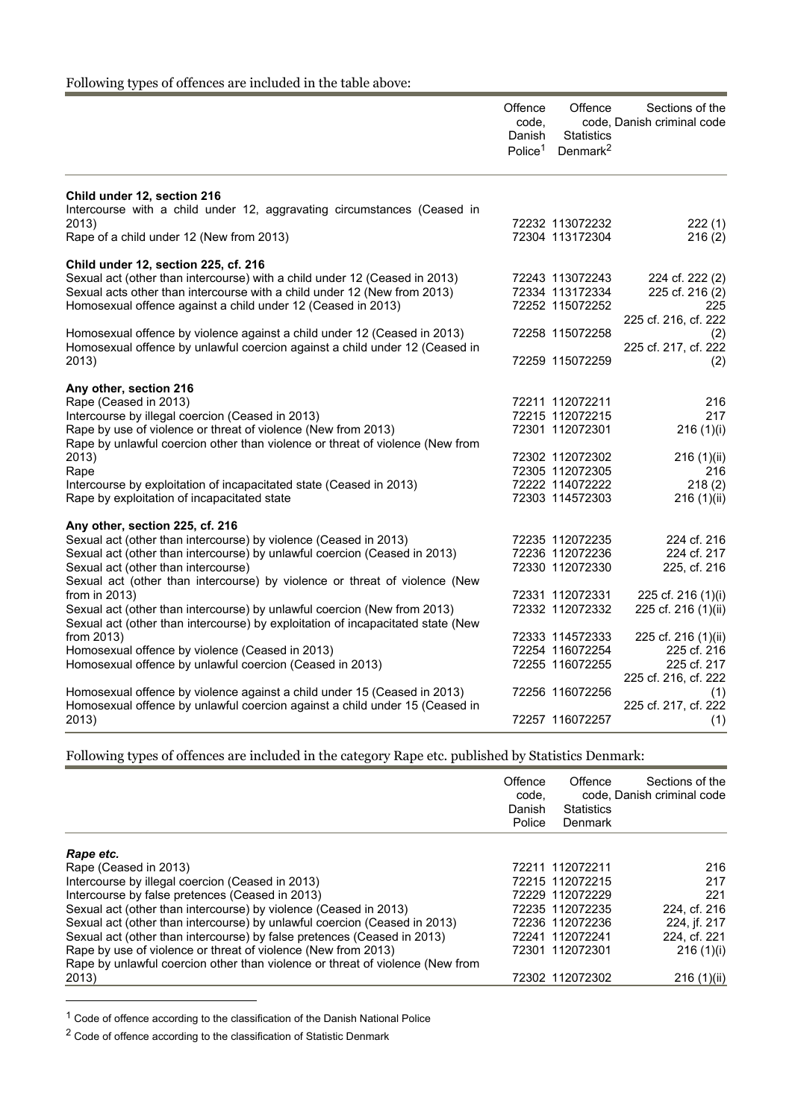## Following types of offences are included in the table above:

|                                                                                 | Offence<br>code,<br>Danish<br>Police <sup>1</sup> | Offence<br><b>Statistics</b><br>Denmark $^2$ | Sections of the<br>code, Danish criminal code |
|---------------------------------------------------------------------------------|---------------------------------------------------|----------------------------------------------|-----------------------------------------------|
| Child under 12, section 216                                                     |                                                   |                                              |                                               |
| Intercourse with a child under 12, aggravating circumstances (Ceased in         |                                                   |                                              |                                               |
| 2013)<br>Rape of a child under 12 (New from 2013)                               |                                                   | 72232 113072232<br>72304 113172304           | 222(1)<br>216(2)                              |
|                                                                                 |                                                   |                                              |                                               |
| Child under 12, section 225, cf. 216                                            |                                                   |                                              |                                               |
| Sexual act (other than intercourse) with a child under 12 (Ceased in 2013)      |                                                   | 72243 113072243                              | 224 cf. 222 (2)                               |
| Sexual acts other than intercourse with a child under 12 (New from 2013)        |                                                   | 72334 113172334                              | 225 cf. 216 (2)                               |
| Homosexual offence against a child under 12 (Ceased in 2013)                    |                                                   | 72252 115072252                              | 225                                           |
|                                                                                 |                                                   |                                              | 225 cf. 216, cf. 222                          |
| Homosexual offence by violence against a child under 12 (Ceased in 2013)        |                                                   | 72258 115072258                              | (2)                                           |
| Homosexual offence by unlawful coercion against a child under 12 (Ceased in     |                                                   |                                              | 225 cf. 217, cf. 222                          |
| 2013)                                                                           |                                                   | 72259 115072259                              | (2)                                           |
| Any other, section 216                                                          |                                                   |                                              |                                               |
| Rape (Ceased in 2013)                                                           |                                                   | 72211 112072211                              | 216                                           |
| Intercourse by illegal coercion (Ceased in 2013)                                |                                                   | 72215 112072215                              | 217                                           |
| Rape by use of violence or threat of violence (New from 2013)                   |                                                   | 72301 112072301                              | 216(1)(i)                                     |
| Rape by unlawful coercion other than violence or threat of violence (New from   |                                                   |                                              |                                               |
| 2013)                                                                           |                                                   | 72302 112072302                              | 216(1)(ii)                                    |
| Rape                                                                            |                                                   | 72305 112072305                              | 216                                           |
| Intercourse by exploitation of incapacitated state (Ceased in 2013)             |                                                   | 72222 114072222                              | 218(2)                                        |
| Rape by exploitation of incapacitated state                                     |                                                   | 72303 114572303                              | 216(1)(ii)                                    |
| Any other, section 225, cf. 216                                                 |                                                   |                                              |                                               |
| Sexual act (other than intercourse) by violence (Ceased in 2013)                |                                                   | 72235 112072235                              | 224 cf. 216                                   |
| Sexual act (other than intercourse) by unlawful coercion (Ceased in 2013)       |                                                   | 72236 112072236                              | 224 cf. 217                                   |
| Sexual act (other than intercourse)                                             |                                                   | 72330 112072330                              | 225, cf. 216                                  |
| Sexual act (other than intercourse) by violence or threat of violence (New      |                                                   |                                              |                                               |
| from in $2013$ )                                                                |                                                   | 72331 112072331                              | 225 cf. 216 (1)(i)                            |
| Sexual act (other than intercourse) by unlawful coercion (New from 2013)        |                                                   | 72332 112072332                              | 225 cf. 216 (1)(ii)                           |
| Sexual act (other than intercourse) by exploitation of incapacitated state (New |                                                   |                                              |                                               |
| from 2013)                                                                      |                                                   | 72333 114572333                              | 225 cf. 216 (1)(ii)                           |
| Homosexual offence by violence (Ceased in 2013)                                 |                                                   | 72254 116072254                              | 225 cf. 216                                   |
| Homosexual offence by unlawful coercion (Ceased in 2013)                        |                                                   | 72255 116072255                              | 225 cf. 217                                   |
|                                                                                 |                                                   |                                              | 225 cf. 216, cf. 222                          |
| Homosexual offence by violence against a child under 15 (Ceased in 2013)        |                                                   | 72256 116072256                              | (1)                                           |
| Homosexual offence by unlawful coercion against a child under 15 (Ceased in     |                                                   |                                              | 225 cf. 217, cf. 222                          |
| 2013)                                                                           |                                                   | 72257 116072257                              | (1)                                           |

Following types of offences are included in the category Rape etc. published by Statistics Denmark:

|                                                                                                                                                | Offence<br>code.<br>Danish<br>Police | Offence<br><b>Statistics</b><br>Denmark | Sections of the<br>code. Danish criminal code |
|------------------------------------------------------------------------------------------------------------------------------------------------|--------------------------------------|-----------------------------------------|-----------------------------------------------|
| Rape etc.                                                                                                                                      |                                      |                                         |                                               |
| Rape (Ceased in 2013)                                                                                                                          |                                      | 72211 112072211                         | 216                                           |
| Intercourse by illegal coercion (Ceased in 2013)                                                                                               |                                      | 72215 112072215                         | 217                                           |
| Intercourse by false pretences (Ceased in 2013)                                                                                                |                                      | 72229 112072229                         | 221                                           |
| Sexual act (other than intercourse) by violence (Ceased in 2013)                                                                               |                                      | 72235 112072235                         | 224. cf. 216                                  |
| Sexual act (other than intercourse) by unlawful coercion (Ceased in 2013)                                                                      |                                      | 72236 112072236                         | 224, if. 217                                  |
| Sexual act (other than intercourse) by false pretences (Ceased in 2013)                                                                        |                                      | 72241 112072241                         | 224, cf. 221                                  |
| Rape by use of violence or threat of violence (New from 2013)<br>Rape by unlawful coercion other than violence or threat of violence (New from |                                      | 72301 112072301                         | 216(1)(i)                                     |
| 2013)                                                                                                                                          |                                      | 72302 112072302                         | 216 (1)(ii)                                   |

 $1$  Code of offence according to the classification of the Danish National Police

 $^{\text{2}}$  Code of offence according to the classification of Statistic Denmark